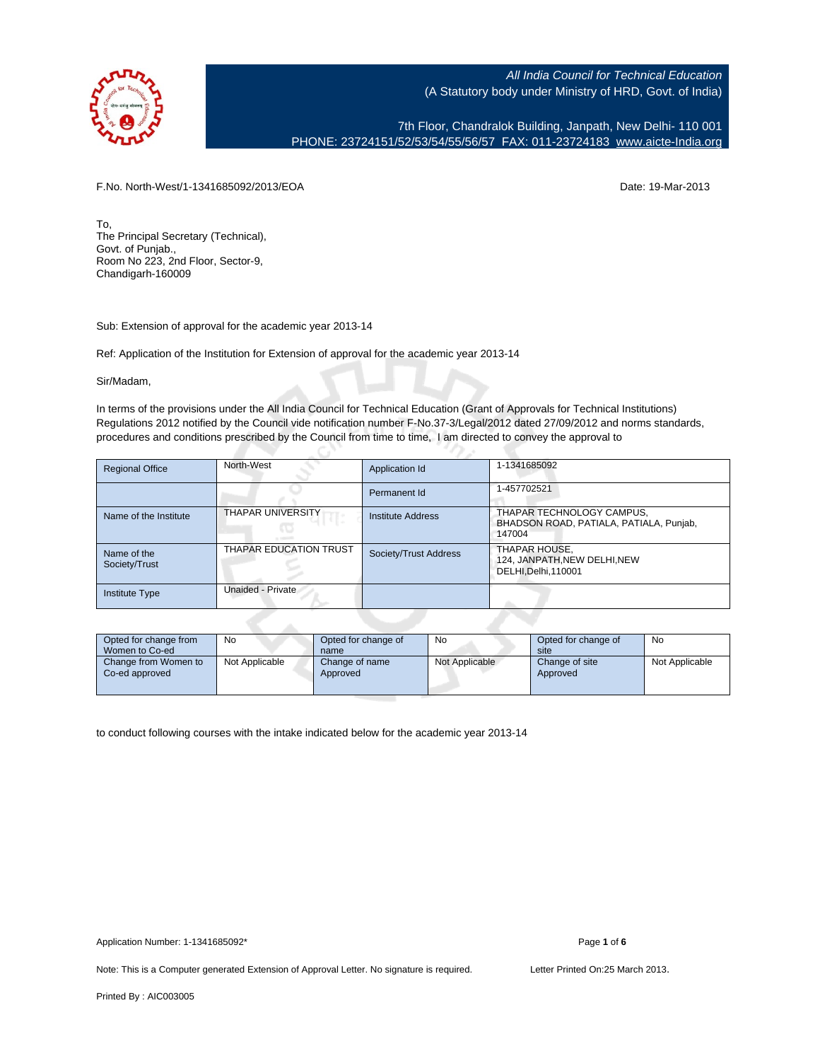

7th Floor, Chandralok Building, Janpath, New Delhi- 110 001 PHONE: 23724151/52/53/54/55/56/57 FAX: 011-23724183 [www.aicte-India.org](http://www.aicte-India.org)

F.No. North-West/1-1341685092/2013/EOA Date: 19-Mar-2013

To, The Principal Secretary (Technical), Govt. of Punjab., Room No 223, 2nd Floor, Sector-9, Chandigarh-160009

Sub: Extension of approval for the academic year 2013-14

Ref: Application of the Institution for Extension of approval for the academic year 2013-14

с.

Sir/Madam,

In terms of the provisions under the All India Council for Technical Education (Grant of Approvals for Technical Institutions) Regulations 2012 notified by the Council vide notification number F-No.37-3/Legal/2012 dated 27/09/2012 and norms standards, procedures and conditions prescribed by the Council from time to time, I am directed to convey the approval to

| <b>Regional Office</b>       | North-West                                   | Application Id           | 1-1341685092                                                                   |
|------------------------------|----------------------------------------------|--------------------------|--------------------------------------------------------------------------------|
|                              |                                              | Permanent Id             | 1-457702521                                                                    |
| Name of the Institute        | <b>THAPAR UNIVERSITY</b><br><b>In family</b> | <b>Institute Address</b> | THAPAR TECHNOLOGY CAMPUS,<br>BHADSON ROAD, PATIALA, PATIALA, Punjab,<br>147004 |
| Name of the<br>Society/Trust | <b>THAPAR EDUCATION TRUST</b>                | Society/Trust Address    | THAPAR HOUSE,<br>124, JANPATH, NEW DELHI, NEW<br>DELHI, Delhi, 110001          |
| <b>Institute Type</b>        | Unaided - Private                            |                          |                                                                                |

| Opted for change from                  | No             | Opted for change of        | No             | Opted for change of        | <b>No</b>      |
|----------------------------------------|----------------|----------------------------|----------------|----------------------------|----------------|
| Women to Co-ed                         |                | name                       |                | site                       |                |
| Change from Women to<br>Co-ed approved | Not Applicable | Change of name<br>Approved | Not Applicable | Change of site<br>Approved | Not Applicable |

to conduct following courses with the intake indicated below for the academic year 2013-14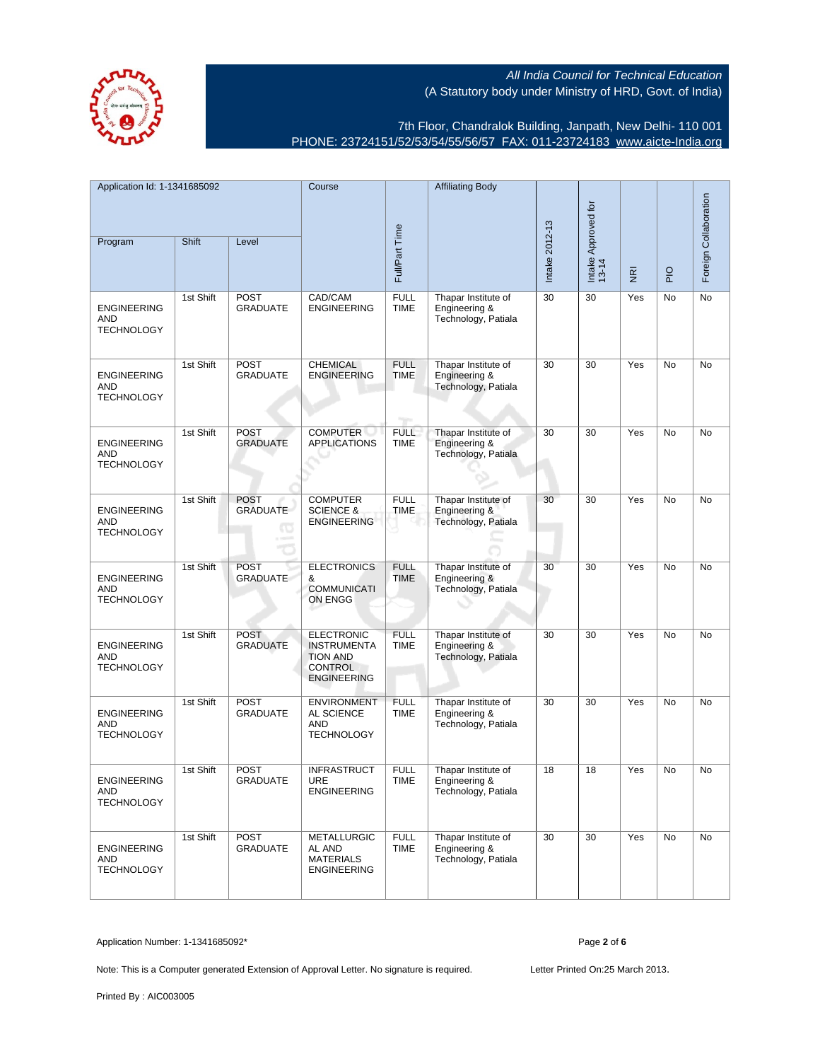7th Floor, Chandralok Building, Janpath, New Delhi- 110 001 PHONE: 23724151/52/53/54/55/56/57 FAX: 011-23724183 [www.aicte-India.org](http://www.aicte-India.org)

| Application Id: 1-1341685092                          |           | Course                              |                                                                                                    | <b>Affiliating Body</b>                   |                                                             |                              |                                     |             | Foreign Collaboration |    |
|-------------------------------------------------------|-----------|-------------------------------------|----------------------------------------------------------------------------------------------------|-------------------------------------------|-------------------------------------------------------------|------------------------------|-------------------------------------|-------------|-----------------------|----|
| Program                                               | Shift     | Level                               | Full/Part Time                                                                                     |                                           | Intake 2012-13                                              | Intake Approved for<br>13-14 | $\overline{\underline{\mathbf{g}}}$ | $rac{O}{P}$ |                       |    |
| <b>ENGINEERING</b><br>AND<br><b>TECHNOLOGY</b>        | 1st Shift | <b>POST</b><br><b>GRADUATE</b>      | CAD/CAM<br><b>ENGINEERING</b>                                                                      | <b>FULL</b><br><b>TIME</b>                | Thapar Institute of<br>Engineering &<br>Technology, Patiala | 30                           | 30                                  | Yes         | No                    | No |
| <b>ENGINEERING</b><br>AND<br><b>TECHNOLOGY</b>        | 1st Shift | <b>POST</b><br><b>GRADUATE</b>      | <b>CHEMICAL</b><br><b>ENGINEERING</b>                                                              | <b>FULL</b><br><b>TIME</b><br><b>Time</b> | Thapar Institute of<br>Engineering &<br>Technology, Patiala | 30                           | 30                                  | Yes         | No                    | No |
| <b>ENGINEERING</b><br><b>AND</b><br><b>TECHNOLOGY</b> | 1st Shift | <b>POST</b><br><b>GRADUATE</b>      | <b>COMPUTER</b><br><b>APPLICATIONS</b>                                                             | <b>FULL</b><br>TIME                       | Thapar Institute of<br>Engineering &<br>Technology, Patiala | 30                           | 30                                  | Yes         | No                    | No |
| <b>ENGINEERING</b><br><b>AND</b><br><b>TECHNOLOGY</b> | 1st Shift | <b>POST</b><br><b>GRADUATE</b><br>œ | <b>COMPUTER</b><br><b>SCIENCE &amp;</b><br><b>ENGINEERING</b>                                      | <b>FULL</b><br><b>TIME</b>                | Thapar Institute of<br>Engineering &<br>Technology, Patiala | 30                           | 30                                  | Yes         | No                    | No |
| <b>ENGINEERING</b><br><b>AND</b><br><b>TECHNOLOGY</b> | 1st Shift | <b>POST</b><br><b>GRADUATE</b>      | <b>ELECTRONICS</b><br>&<br><b>COMMUNICATI</b><br>ON ENGG                                           | <b>FULL</b><br><b>TIME</b>                | Thapar Institute of<br>Engineering &<br>Technology, Patiala | 30                           | 30                                  | Yes         | No                    | No |
| <b>ENGINEERING</b><br>AND<br><b>TECHNOLOGY</b>        | 1st Shift | <b>POST</b><br><b>GRADUATE</b>      | <b>ELECTRONIC</b><br><b>INSTRUMENTA</b><br><b>TION AND</b><br><b>CONTROL</b><br><b>ENGINEERING</b> | <b>FULL</b><br>TIME                       | Thapar Institute of<br>Engineering &<br>Technology, Patiala | 30                           | 30                                  | Yes         | No                    | No |
| <b>ENGINEERING</b><br><b>AND</b><br><b>TECHNOLOGY</b> | 1st Shift | POST<br><b>GRADUATE</b>             | <b>ENVIRONMENT</b><br>AL SCIENCE<br><b>AND</b><br><b>TECHNOLOGY</b>                                | <b>FULL</b><br><b>TIME</b>                | Thapar Institute of<br>Engineering &<br>Technology, Patiala | 30                           | 30                                  | Yes         | No                    | No |
| <b>ENGINEERING</b><br>AND<br><b>TECHNOLOGY</b>        | 1st Shift | <b>POST</b><br><b>GRADUATE</b>      | <b>INFRASTRUCT</b><br>URE<br><b>ENGINEERING</b>                                                    | <b>FULL</b><br><b>TIME</b>                | Thapar Institute of<br>Engineering &<br>Technology, Patiala | 18                           | 18                                  | Yes         | <b>No</b>             | No |
| <b>ENGINEERING</b><br>AND<br><b>TECHNOLOGY</b>        | 1st Shift | POST<br><b>GRADUATE</b>             | <b>METALLURGIC</b><br>AL AND<br><b>MATERIALS</b><br><b>ENGINEERING</b>                             | <b>FULL</b><br><b>TIME</b>                | Thapar Institute of<br>Engineering &<br>Technology, Patiala | 30                           | 30                                  | Yes         | No                    | No |

Application Number: 1-1341685092\* Page **2** of **6**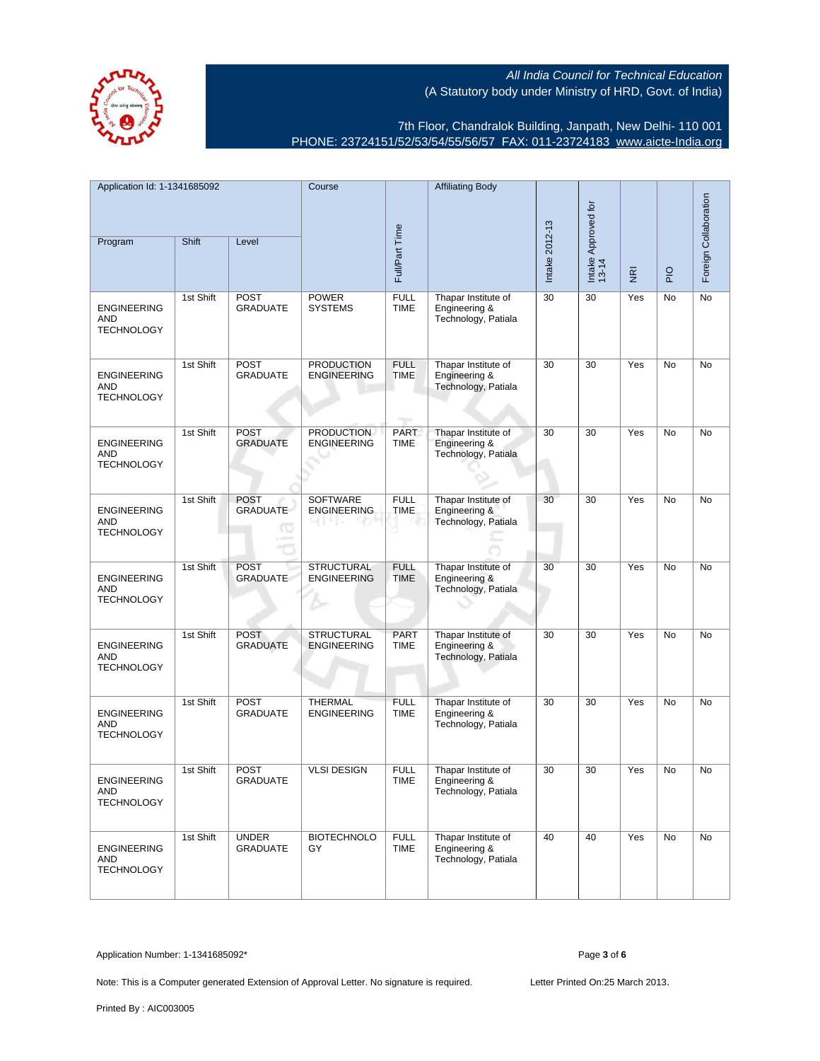(A Statutory body under Ministry of HRD, Govt. of India)



7th Floor, Chandralok Building, Janpath, New Delhi- 110 001 PHONE: 23724151/52/53/54/55/56/57 FAX: 011-23724183 [www.aicte-India.org](http://www.aicte-India.org)

All India Council for Technical Education

| Application Id: 1-1341685092<br>Shift<br>Level<br>Program |           | Course                              |                                         | <b>Affiliating Body</b>                   |                                                             | Intake Approved for<br>13-14 |    |                                     | Foreign Collaboration |           |
|-----------------------------------------------------------|-----------|-------------------------------------|-----------------------------------------|-------------------------------------------|-------------------------------------------------------------|------------------------------|----|-------------------------------------|-----------------------|-----------|
|                                                           |           |                                     |                                         | Full/Part Time                            |                                                             | Intake 2012-13               |    | $\overline{\underline{\mathbf{g}}}$ | <b>PIO</b>            |           |
| <b>ENGINEERING</b><br>AND<br><b>TECHNOLOGY</b>            | 1st Shift | <b>POST</b><br><b>GRADUATE</b>      | <b>POWER</b><br><b>SYSTEMS</b>          | <b>FULL</b><br><b>TIME</b>                | Thapar Institute of<br>Engineering &<br>Technology, Patiala | 30                           | 30 | Yes                                 | No                    | No        |
| <b>ENGINEERING</b><br>AND<br><b>TECHNOLOGY</b>            | 1st Shift | <b>POST</b><br><b>GRADUATE</b>      | <b>PRODUCTION</b><br><b>ENGINEERING</b> | <b>FULL</b><br><b>TIME</b><br><b>Pipe</b> | Thapar Institute of<br>Engineering &<br>Technology, Patiala | 30                           | 30 | Yes                                 | No                    | No        |
| <b>ENGINEERING</b><br>AND<br><b>TECHNOLOGY</b>            | 1st Shift | <b>POST</b><br><b>GRADUATE</b>      | <b>PRODUCTION</b><br><b>ENGINEERING</b> | PART<br>TIME                              | Thapar Institute of<br>Engineering &<br>Technology, Patiala | 30                           | 30 | Yes                                 | No                    | No        |
| <b>ENGINEERING</b><br>AND<br><b>TECHNOLOGY</b>            | 1st Shift | <b>POST</b><br><b>GRADUATE</b><br>œ | SOFTWARE<br><b>ENGINEERING</b>          | <b>FULL</b><br><b>TIME</b>                | Thapar Institute of<br>Engineering &<br>Technology, Patiala | 30                           | 30 | Yes                                 | No                    | No        |
| <b>ENGINEERING</b><br><b>AND</b><br><b>TECHNOLOGY</b>     | 1st Shift | <b>POST</b><br><b>GRADUATE</b>      | <b>STRUCTURAL</b><br><b>ENGINEERING</b> | <b>FULL</b><br><b>TIME</b>                | Thapar Institute of<br>Engineering &<br>Technology, Patiala | 30                           | 30 | Yes                                 | No                    | No        |
| <b>ENGINEERING</b><br>AND<br><b>TECHNOLOGY</b>            | 1st Shift | <b>POST</b><br><b>GRADUATE</b>      | <b>STRUCTURAL</b><br><b>ENGINEERING</b> | <b>PART</b><br>TIME                       | Thapar Institute of<br>Engineering &<br>Technology, Patiala | 30                           | 30 | Yes                                 | <b>No</b>             | <b>No</b> |
| <b>ENGINEERING</b><br>AND<br><b>TECHNOLOGY</b>            | 1st Shift | POST<br><b>GRADUATE</b>             | <b>THERMAL</b><br><b>ENGINEERING</b>    | <b>FULL</b><br><b>TIME</b>                | Thapar Institute of<br>Engineering &<br>Technology, Patiala | 30                           | 30 | Yes                                 | No                    | No        |
| <b>ENGINEERING</b><br>AND<br><b>TECHNOLOGY</b>            | 1st Shift | <b>POST</b><br><b>GRADUATE</b>      | <b>VLSI DESIGN</b>                      | <b>FULL</b><br>TIME                       | Thapar Institute of<br>Engineering &<br>Technology, Patiala | 30                           | 30 | Yes                                 | <b>No</b>             | No        |
| <b>ENGINEERING</b><br>AND<br><b>TECHNOLOGY</b>            | 1st Shift | <b>UNDER</b><br><b>GRADUATE</b>     | <b>BIOTECHNOLO</b><br>GY                | <b>FULL</b><br>TIME                       | Thapar Institute of<br>Engineering &<br>Technology, Patiala | 40                           | 40 | Yes                                 | No                    | No        |

Application Number: 1-1341685092\* Page **3** of **6**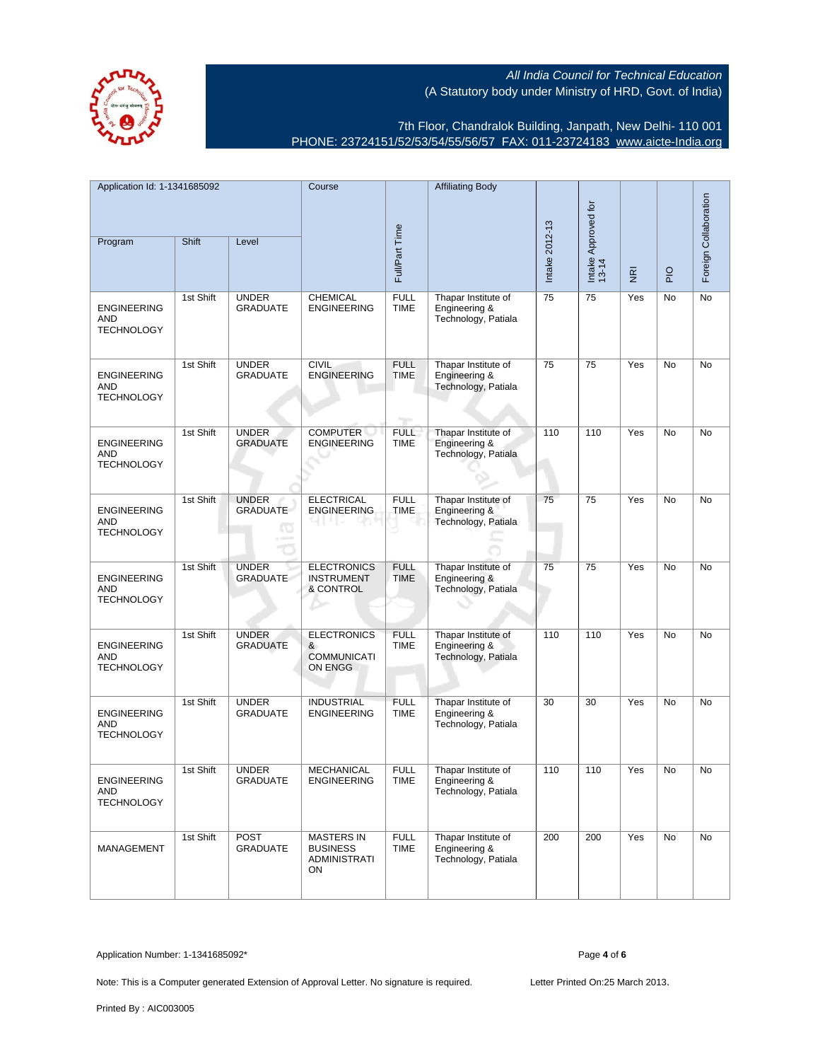7th Floor, Chandralok Building, Janpath, New Delhi- 110 001 PHONE: 23724151/52/53/54/55/56/57 FAX: 011-23724183 [www.aicte-India.org](http://www.aicte-India.org)

| Application Id: 1-1341685092                          |           | Course                                |                                                                   | <b>Affiliating Body</b>    |                                                             |                |                              |                                     |             |                       |
|-------------------------------------------------------|-----------|---------------------------------------|-------------------------------------------------------------------|----------------------------|-------------------------------------------------------------|----------------|------------------------------|-------------------------------------|-------------|-----------------------|
| Program                                               | Shift     | Level                                 |                                                                   | Full/Part Time             |                                                             | Intake 2012-13 | Intake Approved for<br>13-14 | $\overline{\underline{\mathbf{g}}}$ | $rac{O}{P}$ | Foreign Collaboration |
| <b>ENGINEERING</b><br><b>AND</b><br><b>TECHNOLOGY</b> | 1st Shift | <b>UNDER</b><br><b>GRADUATE</b>       | CHEMICAL<br><b>ENGINEERING</b>                                    | <b>FULL</b><br><b>TIME</b> | Thapar Institute of<br>Engineering &<br>Technology, Patiala | 75             | 75                           | Yes                                 | No          | No                    |
| <b>ENGINEERING</b><br>AND<br><b>TECHNOLOGY</b>        | 1st Shift | <b>UNDER</b><br><b>GRADUATE</b>       | <b>CIVIL</b><br><b>ENGINEERING</b>                                | <b>FULL</b><br><b>TIME</b> | Thapar Institute of<br>Engineering &<br>Technology, Patiala | 75             | 75                           | Yes                                 | No          | No                    |
| <b>ENGINEERING</b><br>AND<br><b>TECHNOLOGY</b>        | 1st Shift | <b>UNDER</b><br><b>GRADUATE</b>       | <b>COMPUTER</b><br><b>ENGINEERING</b>                             | <b>FULL</b><br><b>TIME</b> | Thapar Institute of<br>Engineering &<br>Technology, Patiala | 110            | 110                          | Yes                                 | No          | No                    |
| <b>ENGINEERING</b><br>AND<br><b>TECHNOLOGY</b>        | 1st Shift | <b>UNDER</b><br><b>GRADUATE</b><br>90 | <b>ELECTRICAL</b><br><b>ENGINEERING</b>                           | <b>FULL</b><br><b>TIME</b> | Thapar Institute of<br>Engineering &<br>Technology, Patiala | 75             | 75                           | Yes                                 | <b>No</b>   | No                    |
| <b>ENGINEERING</b><br>AND<br><b>TECHNOLOGY</b>        | 1st Shift | <b>UNDER</b><br><b>GRADUATE</b>       | <b>ELECTRONICS</b><br><b>INSTRUMENT</b><br>& CONTROL              | <b>FULL</b><br><b>TIME</b> | Thapar Institute of<br>Engineering &<br>Technology, Patiala | 75             | 75                           | Yes                                 | No          | No                    |
| <b>ENGINEERING</b><br><b>AND</b><br><b>TECHNOLOGY</b> | 1st Shift | <b>UNDER</b><br><b>GRADUATE</b>       | <b>ELECTRONICS</b><br>&<br><b>COMMUNICATI</b><br>ON ENGG          | <b>FULL</b><br><b>TIME</b> | Thapar Institute of<br>Engineering &<br>Technology, Patiala | 110            | 110                          | Yes                                 | No          | No                    |
| <b>ENGINEERING</b><br><b>AND</b><br><b>TECHNOLOGY</b> | 1st Shift | <b>UNDER</b><br><b>GRADUATE</b>       | <b>INDUSTRIAL</b><br><b>ENGINEERING</b>                           | <b>FULL</b><br><b>TIME</b> | Thapar Institute of<br>Engineering &<br>Technology, Patiala | 30             | 30                           | Yes                                 | No          | No                    |
| <b>ENGINEERING</b><br>AND<br><b>TECHNOLOGY</b>        | 1st Shift | <b>UNDER</b><br><b>GRADUATE</b>       | <b>MECHANICAL</b><br><b>ENGINEERING</b>                           | <b>FULL</b><br><b>TIME</b> | Thapar Institute of<br>Engineering &<br>Technology, Patiala | 110            | 110                          | Yes                                 | No          | No                    |
| <b>MANAGEMENT</b>                                     | 1st Shift | <b>POST</b><br><b>GRADUATE</b>        | <b>MASTERS IN</b><br><b>BUSINESS</b><br><b>ADMINISTRATI</b><br>ON | <b>FULL</b><br><b>TIME</b> | Thapar Institute of<br>Engineering &<br>Technology, Patiala | 200            | 200                          | Yes                                 | <b>No</b>   | No                    |

Application Number: 1-1341685092\* Page **4** of **6**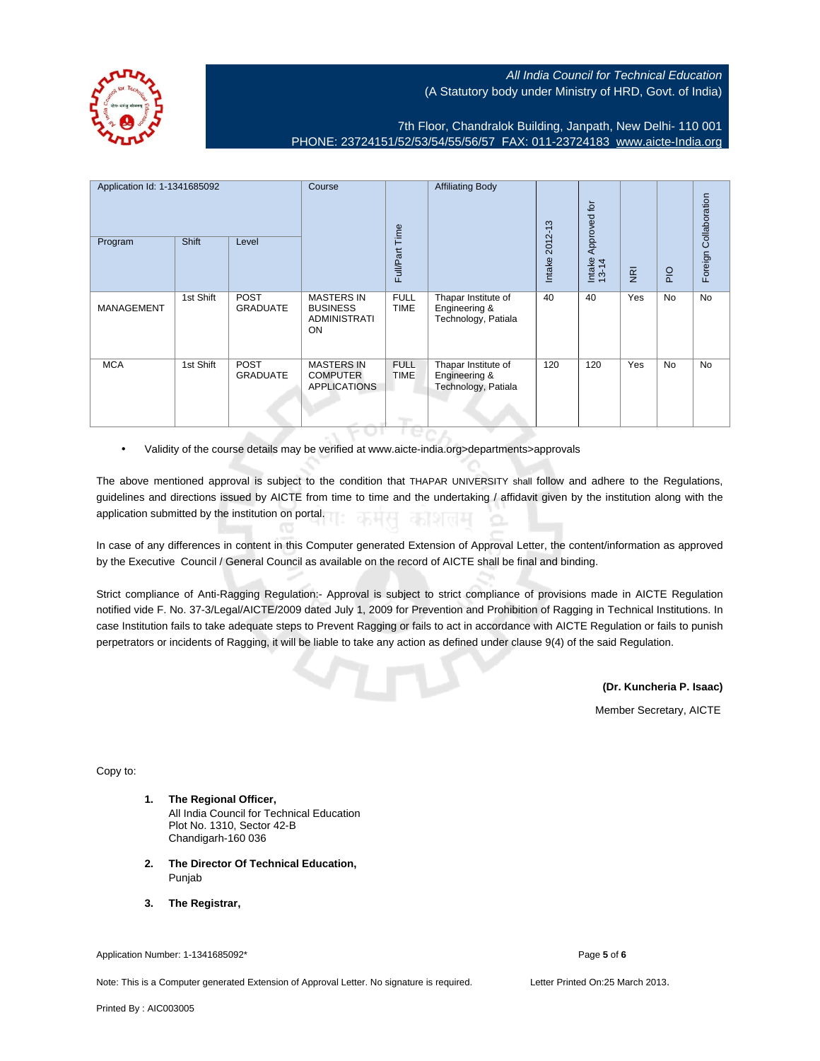7th Floor, Chandralok Building, Janpath, New Delhi- 110 001 PHONE: 23724151/52/53/54/55/56/57 FAX: 011-23724183 [www.aicte-India.org](http://www.aicte-India.org)

| Application Id: 1-1341685092<br>Shift<br>Program<br>Level |           | Course                         | Full/Part Time                                                    | <b>Affiliating Body</b>    | 2012-13                                                     | Approved for |                 |                | Foreign Collaboration |           |
|-----------------------------------------------------------|-----------|--------------------------------|-------------------------------------------------------------------|----------------------------|-------------------------------------------------------------|--------------|-----------------|----------------|-----------------------|-----------|
|                                                           |           |                                |                                                                   |                            |                                                             | Intake       | Intake<br>13-14 | $\overline{g}$ | $rac{O}{P}$           |           |
| <b>MANAGEMENT</b>                                         | 1st Shift | <b>POST</b><br><b>GRADUATE</b> | <b>MASTERS IN</b><br><b>BUSINESS</b><br><b>ADMINISTRATI</b><br>ON | <b>FULL</b><br><b>TIME</b> | Thapar Institute of<br>Engineering &<br>Technology, Patiala | 40           | 40              | Yes            | No                    | <b>No</b> |
| <b>MCA</b>                                                | 1st Shift | POST<br><b>GRADUATE</b>        | <b>MASTERS IN</b><br><b>COMPUTER</b><br><b>APPLICATIONS</b>       | <b>FULL</b><br><b>TIME</b> | Thapar Institute of<br>Engineering &<br>Technology, Patiala | 120          | 120             | Yes            | No                    | No        |

• Validity of the course details may be verified at www.aicte-india.org>departments>approvals

The above mentioned approval is subject to the condition that THAPAR UNIVERSITY shall follow and adhere to the Regulations, guidelines and directions issued by AICTE from time to time and the undertaking / affidavit given by the institution along with the application submitted by the institution on portal.

In case of any differences in content in this Computer generated Extension of Approval Letter, the content/information as approved by the Executive Council / General Council as available on the record of AICTE shall be final and binding.

Strict compliance of Anti-Ragging Regulation:- Approval is subject to strict compliance of provisions made in AICTE Regulation notified vide F. No. 37-3/Legal/AICTE/2009 dated July 1, 2009 for Prevention and Prohibition of Ragging in Technical Institutions. In case Institution fails to take adequate steps to Prevent Ragging or fails to act in accordance with AICTE Regulation or fails to punish perpetrators or incidents of Ragging, it will be liable to take any action as defined under clause 9(4) of the said Regulation.

**(Dr. Kuncheria P. Isaac)**

Member Secretary, AICTE

Copy to:

- **1. The Regional Officer,** All India Council for Technical Education Plot No. 1310, Sector 42-B Chandigarh-160 036
- **2. The Director Of Technical Education,** Punjab
- **3. The Registrar,**

Application Number: 1-1341685092\* Page **5** of **6**